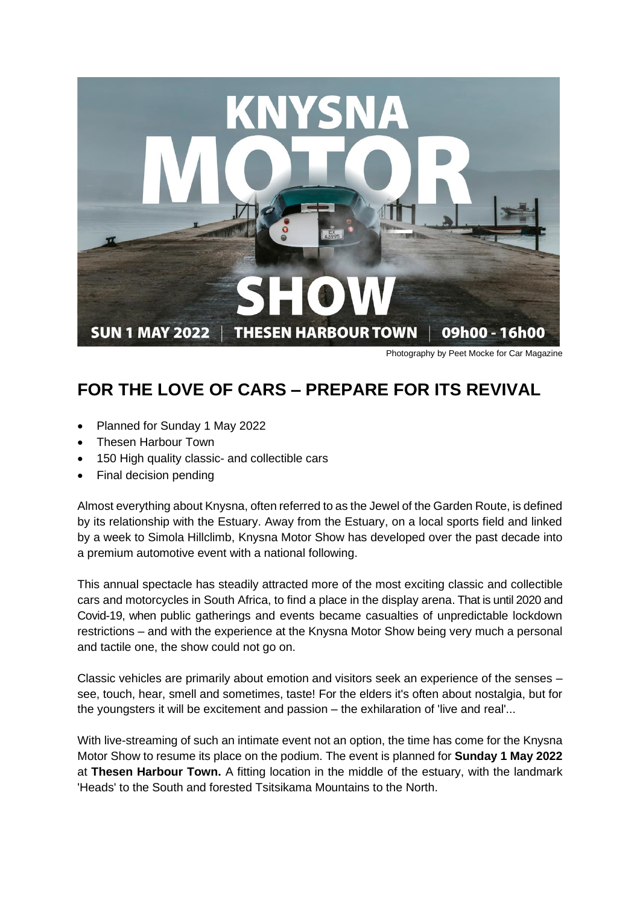

Photography by Peet Mocke for Car Magazine

## **FOR THE LOVE OF CARS – PREPARE FOR ITS REVIVAL**

- Planned for Sunday 1 May 2022
- Thesen Harbour Town
- 150 High quality classic- and collectible cars
- Final decision pending

Almost everything about Knysna, often referred to as the Jewel of the Garden Route, is defined by its relationship with the Estuary. Away from the Estuary, on a local sports field and linked by a week to Simola Hillclimb, Knysna Motor Show has developed over the past decade into a premium automotive event with a national following.

This annual spectacle has steadily attracted more of the most exciting classic and collectible cars and motorcycles in South Africa, to find a place in the display arena. That is until 2020 and Covid-19, when public gatherings and events became casualties of unpredictable lockdown restrictions – and with the experience at the Knysna Motor Show being very much a personal and tactile one, the show could not go on.

Classic vehicles are primarily about emotion and visitors seek an experience of the senses – see, touch, hear, smell and sometimes, taste! For the elders it's often about nostalgia, but for the youngsters it will be excitement and passion – the exhilaration of 'live and real'...

With live-streaming of such an intimate event not an option, the time has come for the Knysna Motor Show to resume its place on the podium. The event is planned for **Sunday 1 May 2022** at **Thesen Harbour Town.** A fitting location in the middle of the estuary, with the landmark 'Heads' to the South and forested Tsitsikama Mountains to the North.